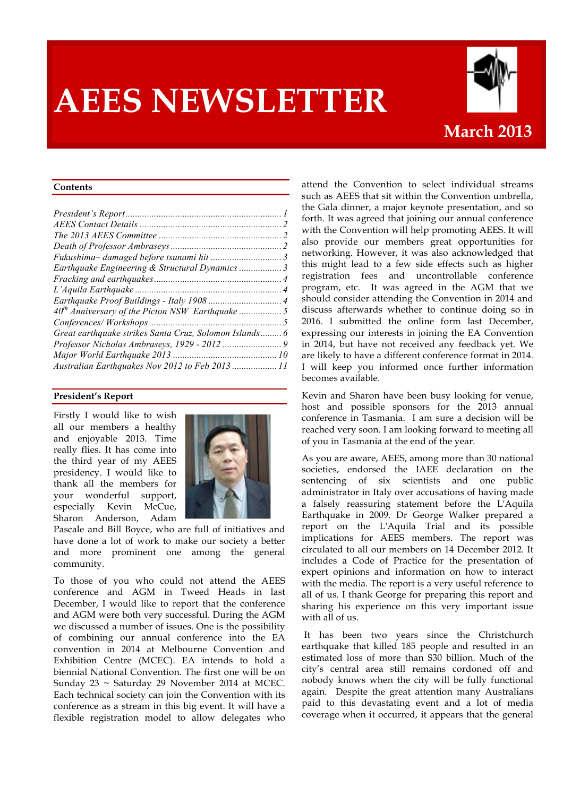# **AEES NEWSLETTER**



#### **Contents**

| Earthquake Engineering & Structural Dynamics  3        |  |
|--------------------------------------------------------|--|
|                                                        |  |
|                                                        |  |
|                                                        |  |
|                                                        |  |
|                                                        |  |
| Great earthquake strikes Santa Cruz, Solomon Islands 6 |  |
|                                                        |  |
|                                                        |  |
| Australian Earthquakes Nov 2012 to Feb 2013  11        |  |

#### **President's Report**

Firstly I would like to wish all our members a healthy and enjoyable 2013. Time really flies. It has come into the third year of my AEES presidency. I would like to thank all the members for your wonderful support, especially Kevin McCue, Sharon Anderson, Adam



Pascale and Bill Boyce, who are full of initiatives and have done a lot of work to make our society a better and more prominent one among the general community.

To those of you who could not attend the AEES conference and AGM in Tweed Heads in last December, I would like to report that the conference and AGM were both very successful. During the AGM we discussed a number of issues. One is the possibility of combining our annual conference into the EA convention in 2014 at Melbourne Convention and Exhibition Centre (MCEC). EA intends to hold a biennial National Convention. The first one will be on Sunday 23 ~ Saturday 29 November 2014 at MCEC. Each technical society can join the Convention with its conference as a stream in this big event. It will have a flexible registration model to allow delegates who

attend the Convention to select individual streams such as AEES that sit within the Convention umbrella, the Gala dinner, a major keynote presentation, and so forth. It was agreed that joining our annual conference with the Convention will help promoting AEES. It will also provide our members great opportunities for networking. However, it was also acknowledged that this might lead to a few side effects such as higher registration fees and uncontrollable conference program, etc. It was agreed in the AGM that we should consider attending the Convention in 2014 and discuss afterwards whether to continue doing so in 2016. I submitted the online form last December, expressing our interests in joining the EA Convention in 2014, but have not received any feedback yet. We are likely to have a different conference format in 2014. I will keep you informed once further information becomes available.

Kevin and Sharon have been busy looking for venue, host and possible sponsors for the 2013 annual conference in Tasmania. I am sure a decision will be reached very soon. I am looking forward to meeting all of you in Tasmania at the end of the year.

As you are aware, AEES, among more than 30 national societies, endorsed the IAEE declaration on the sentencing of six scientists and one public administrator in Italy over accusations of having made a falsely reassuring statement before the L'Aquila Earthquake in 2009. Dr George Walker prepared a report on the L'Aquila Trial and its possible implications for AEES members. The report was circulated to all our members on 14 December 2012. It includes a Code of Practice for the presentation of expert opinions and information on how to interact with the media. The report is a very useful reference to all of us. I thank George for preparing this report and sharing his experience on this very important issue with all of us.

It has been two years since the Christchurch earthquake that killed 185 people and resulted in an estimated loss of more than \$30 billion. Much of the city's central area still remains cordoned off and nobody knows when the city will be fully functional again. Despite the great attention many Australians paid to this devastating event and a lot of media coverage when it occurred, it appears that the general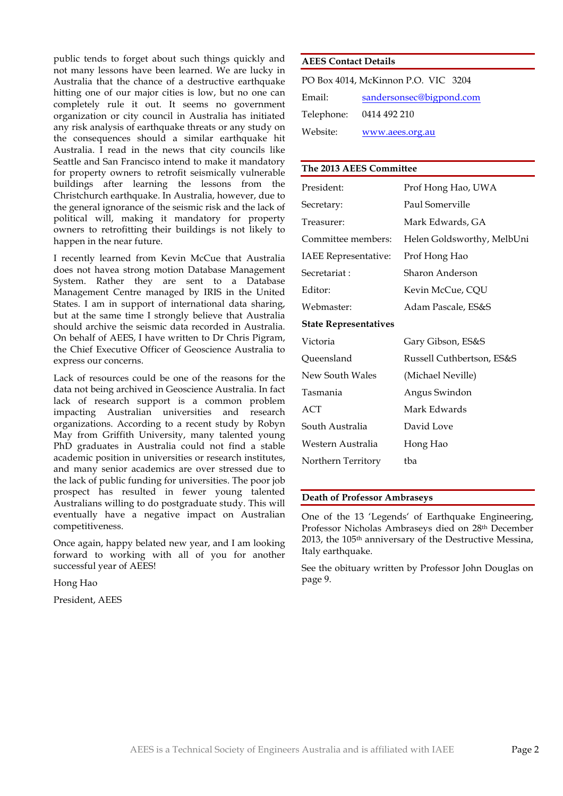public tends to forget about such things quickly and not many lessons have been learned. We are lucky in Australia that the chance of a destructive earthquake hitting one of our major cities is low, but no one can completely rule it out. It seems no government organization or city council in Australia has initiated any risk analysis of earthquake threats or any study on the consequences should a similar earthquake hit Australia. I read in the news that city councils like Seattle and San Francisco intend to make it mandatory for property owners to retrofit seismically vulnerable buildings after learning the lessons from the Christchurch earthquake. In Australia, however, due to the general ignorance of the seismic risk and the lack of political will, making it mandatory for property owners to retrofitting their buildings is not likely to happen in the near future.

I recently learned from Kevin McCue that Australia does not havea strong motion Database Management System. Rather they are sent to a Database Management Centre managed by IRIS in the United States. I am in support of international data sharing, but at the same time I strongly believe that Australia should archive the seismic data recorded in Australia. On behalf of AEES, I have written to Dr Chris Pigram, the Chief Executive Officer of Geoscience Australia to express our concerns.

Lack of resources could be one of the reasons for the data not being archived in Geoscience Australia. In fact lack of research support is a common problem impacting Australian universities and research organizations. According to a recent study by Robyn May from Griffith University, many talented young PhD graduates in Australia could not find a stable academic position in universities or research institutes, and many senior academics are over stressed due to the lack of public funding for universities. The poor job prospect has resulted in fewer young talented Australians willing to do postgraduate study. This will eventually have a negative impact on Australian competitiveness.

Once again, happy belated new year, and I am looking forward to working with all of you for another successful year of AEES!

Hong Hao

President, AEES

## **AEES Contact Details**

| PO Box 4014, McKinnon P.O. VIC 3204 |                          |  |  |  |  |  |
|-------------------------------------|--------------------------|--|--|--|--|--|
| Email:                              | sandersonsec@bigpond.com |  |  |  |  |  |
| Telephone:                          | 0414 492 210             |  |  |  |  |  |
| Website:                            | www.aees.org.au          |  |  |  |  |  |

## **The 2013 AEES Committee**

| President:                   | Prof Hong Hao, UWA         |
|------------------------------|----------------------------|
| Secretary:                   | Paul Somerville            |
| Treasurer:                   | Mark Edwards, GA           |
| Committee members:           | Helen Goldsworthy, MelbUni |
| <b>IAEE</b> Representative:  | Prof Hong Hao              |
| Secretariat:                 | Sharon Anderson            |
| Editor:                      | Kevin McCue, CQU           |
| Webmaster:                   | Adam Pascale, ES&S         |
| <b>State Representatives</b> |                            |
| Victoria                     | Gary Gibson, ES&S          |
| Queensland                   | Russell Cuthbertson, ES&S  |
| New South Wales              | (Michael Neville)          |
| Tasmania                     | Angus Swindon              |
| ACT                          | Mark Edwards               |
| South Australia              | David Love                 |
| Western Australia            | Hong Hao                   |
| Northern Territory           | tba                        |

#### **Death of Professor Ambraseys**

One of the 13 'Legends' of Earthquake Engineering, Professor Nicholas Ambraseys died on 28th December 2013, the 105th anniversary of the Destructive Messina, Italy earthquake.

See the obituary written by Professor John Douglas on page 9.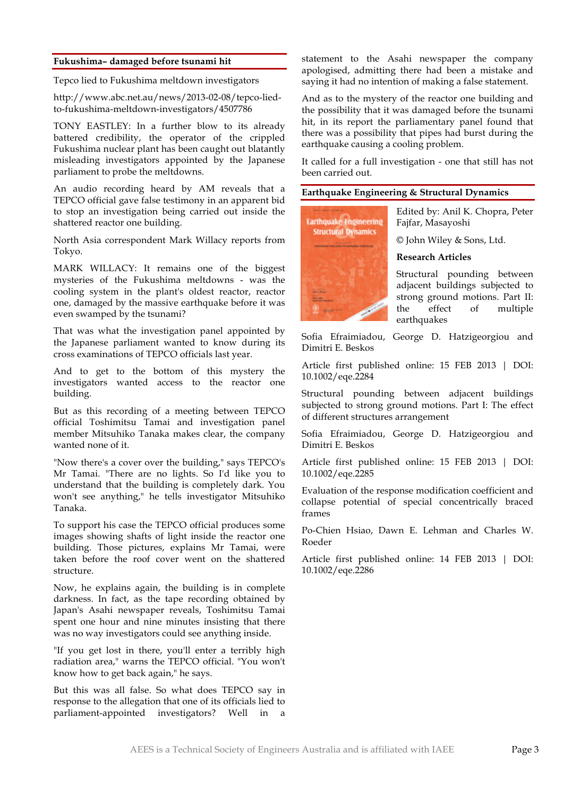#### **Fukushima– damaged before tsunami hit**

Tepco lied to Fukushima meltdown investigators

http://www.abc.net.au/news/2013-02-08/tepco-liedto-fukushima-meltdown-investigators/4507786

TONY EASTLEY: In a further blow to its already battered credibility, the operator of the crippled Fukushima nuclear plant has been caught out blatantly misleading investigators appointed by the Japanese parliament to probe the meltdowns.

An audio recording heard by AM reveals that a TEPCO official gave false testimony in an apparent bid to stop an investigation being carried out inside the shattered reactor one building.

North Asia correspondent Mark Willacy reports from Tokyo.

MARK WILLACY: It remains one of the biggest mysteries of the Fukushima meltdowns - was the cooling system in the plant's oldest reactor, reactor one, damaged by the massive earthquake before it was even swamped by the tsunami?

That was what the investigation panel appointed by the Japanese parliament wanted to know during its cross examinations of TEPCO officials last year.

And to get to the bottom of this mystery the investigators wanted access to the reactor one building.

But as this recording of a meeting between TEPCO official Toshimitsu Tamai and investigation panel member Mitsuhiko Tanaka makes clear, the company wanted none of it.

"Now there's a cover over the building," says TEPCO's Mr Tamai. "There are no lights. So I'd like you to understand that the building is completely dark. You won't see anything," he tells investigator Mitsuhiko Tanaka.

To support his case the TEPCO official produces some images showing shafts of light inside the reactor one building. Those pictures, explains Mr Tamai, were taken before the roof cover went on the shattered structure.

Now, he explains again, the building is in complete darkness. In fact, as the tape recording obtained by Japan's Asahi newspaper reveals, Toshimitsu Tamai spent one hour and nine minutes insisting that there was no way investigators could see anything inside.

"If you get lost in there, you'll enter a terribly high radiation area," warns the TEPCO official. "You won't know how to get back again," he says.

But this was all false. So what does TEPCO say in response to the allegation that one of its officials lied to parliament-appointed investigators? Well in a

statement to the Asahi newspaper the company apologised, admitting there had been a mistake and saying it had no intention of making a false statement.

And as to the mystery of the reactor one building and the possibility that it was damaged before the tsunami hit, in its report the parliamentary panel found that there was a possibility that pipes had burst during the earthquake causing a cooling problem.

It called for a full investigation - one that still has not been carried out.

## **Earthquake Engineering & Structural Dynamics**



Edited by: Anil K. Chopra, Peter Fajfar, Masayoshi

© John Wiley & Sons, Ltd.

#### **Research Articles**

Structural pounding between adjacent buildings subjected to strong ground motions. Part II: the effect of multiple earthquakes

Sofia Efraimiadou, George D. Hatzigeorgiou and Dimitri E. Beskos

Article first published online: 15 FEB 2013 | DOI: 10.1002/eqe.2284

Structural pounding between adjacent buildings subjected to strong ground motions. Part I: The effect of different structures arrangement

Sofia Efraimiadou, George D. Hatzigeorgiou and Dimitri E. Beskos

Article first published online: 15 FEB 2013 | DOI: 10.1002/eqe.2285

Evaluation of the response modification coefficient and collapse potential of special concentrically braced frames

Po-Chien Hsiao, Dawn E. Lehman and Charles W. Roeder

Article first published online: 14 FEB 2013 | DOI: 10.1002/eqe.2286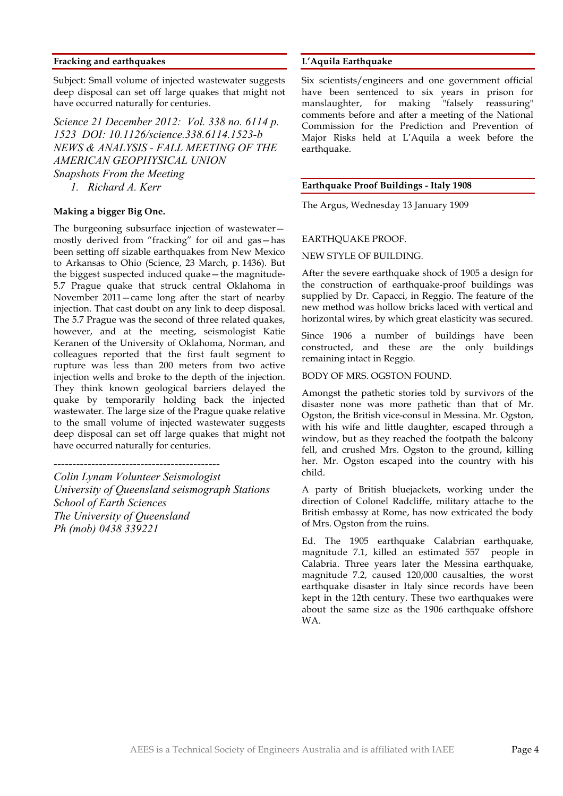#### **Fracking and earthquakes**

Subject: Small volume of injected wastewater suggests deep disposal can set off large quakes that might not have occurred naturally for centuries.

*Science 21 December 2012: Vol. 338 no. 6114 p. 1523 DOI: 10.1126/science.338.6114.1523-b NEWS & ANALYSIS - FALL MEETING OF THE AMERICAN GEOPHYSICAL UNION Snapshots From the Meeting 1. Richard A. Kerr*

#### **Making a bigger Big One.**

The burgeoning subsurface injection of wastewater mostly derived from "fracking" for oil and gas—has been setting off sizable earthquakes from New Mexico to Arkansas to Ohio (Science, 23 March, p. 1436). But the biggest suspected induced quake—the magnitude-5.7 Prague quake that struck central Oklahoma in November 2011—came long after the start of nearby injection. That cast doubt on any link to deep disposal. The 5.7 Prague was the second of three related quakes, however, and at the meeting, seismologist Katie Keranen of the University of Oklahoma, Norman, and colleagues reported that the first fault segment to rupture was less than 200 meters from two active injection wells and broke to the depth of the injection. They think known geological barriers delayed the quake by temporarily holding back the injected wastewater. The large size of the Prague quake relative to the small volume of injected wastewater suggests deep disposal can set off large quakes that might not have occurred naturally for centuries.

# *--------------------------------------------*

*Colin Lynam Volunteer Seismologist University of Queensland seismograph Stations School of Earth Sciences The University of Queensland Ph (mob) 0438 339221*

#### **L'Aquila Earthquake**

Six scientists/engineers and one government official have been sentenced to six years in prison for manslaughter, for making "falsely reassuring" comments before and after a meeting of the National Commission for the Prediction and Prevention of Major Risks held at L'Aquila a week before the earthquake.

#### **Earthquake Proof Buildings - Italy 1908**

The Argus, Wednesday 13 January 1909

#### EARTHQUAKE PROOF.

#### NEW STYLE OF BUILDING.

After the severe earthquake shock of 1905 a design for the construction of earthquake-proof buildings was supplied by Dr. Capacci, in Reggio. The feature of the new method was hollow bricks laced with vertical and horizontal wires, by which great elasticity was secured.

Since 1906 a number of buildings have been constructed, and these are the only buildings remaining intact in Reggio.

BODY OF MRS. OGSTON FOUND.

Amongst the pathetic stories told by survivors of the disaster none was more pathetic than that of Mr. Ogston, the British vice-consul in Messina. Mr. Ogston, with his wife and little daughter, escaped through a window, but as they reached the footpath the balcony fell, and crushed Mrs. Ogston to the ground, killing her. Mr. Ogston escaped into the country with his child.

A party of British bluejackets, working under the direction of Colonel Radcliffe, military attache to the British embassy at Rome, has now extricated the body of Mrs. Ogston from the ruins.

Ed. The 1905 earthquake Calabrian earthquake, magnitude 7.1, killed an estimated 557 people in Calabria. Three years later the Messina earthquake, magnitude 7.2, caused 120,000 causalties, the worst earthquake disaster in Italy since records have been kept in the 12th century. These two earthquakes were about the same size as the 1906 earthquake offshore WA.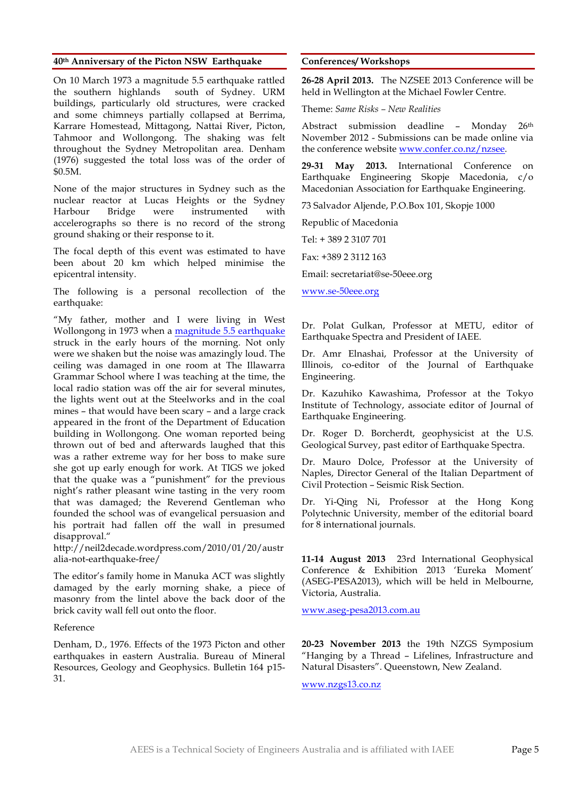#### **40th Anniversary of the Picton NSW Earthquake**

On 10 March 1973 a magnitude 5.5 earthquake rattled the southern highlands south of Sydney. URM buildings, particularly old structures, were cracked and some chimneys partially collapsed at Berrima, Karrare Homestead, Mittagong, Nattai River, Picton, Tahmoor and Wollongong. The shaking was felt throughout the Sydney Metropolitan area. Denham (1976) suggested the total loss was of the order of \$0.5M.

None of the major structures in Sydney such as the nuclear reactor at Lucas Heights or the Sydney Harbour Bridge were instrumented with accelerographs so there is no record of the strong ground shaking or their response to it.

The focal depth of this event was estimated to have been about 20 km which helped minimise the epicentral intensity.

The following is a personal recollection of the earthquake:

"My father, mother and I were living in West Wollongong in 1973 when a magnitude 5.5 earthquake struck in the early hours of the morning. Not only were we shaken but the noise was amazingly loud. The ceiling was damaged in one room at The Illawarra Grammar School where I was teaching at the time, the local radio station was off the air for several minutes, the lights went out at the Steelworks and in the coal mines – that would have been scary – and a large crack appeared in the front of the Department of Education building in Wollongong. One woman reported being thrown out of bed and afterwards laughed that this was a rather extreme way for her boss to make sure she got up early enough for work. At TIGS we joked that the quake was a "punishment" for the previous night's rather pleasant wine tasting in the very room that was damaged; the Reverend Gentleman who founded the school was of evangelical persuasion and his portrait had fallen off the wall in presumed disapproval."

http://neil2decade.wordpress.com/2010/01/20/austr alia-not-earthquake-free/

The editor's family home in Manuka ACT was slightly damaged by the early morning shake, a piece of masonry from the lintel above the back door of the brick cavity wall fell out onto the floor.

#### Reference

Denham, D., 1976. Effects of the 1973 Picton and other earthquakes in eastern Australia. Bureau of Mineral Resources, Geology and Geophysics. Bulletin 164 p15- 31.

#### **Conferences/ Workshops**

**26-28 April 2013.** The NZSEE 2013 Conference will be held in Wellington at the Michael Fowler Centre.

Theme: *Same Risks – New Realities*

Abstract submission deadline - Monday 26<sup>th</sup> November 2012 - Submissions can be made online via the conference website www.confer.co.nz/nzsee.

**29-31 May 2013.** International Conference on Earthquake Engineering Skopje Macedonia, c/o Macedonian Association for Earthquake Engineering.

73 Salvador Aljende, P.O.Box 101, Skopje 1000

Republic of Macedonia

Tel: + 389 2 3107 701

Fax: +389 2 3112 163

Email: secretariat@se-50eee.org

www.se-50eee.org

Dr. Polat Gulkan, Professor at METU, editor of Earthquake Spectra and President of IAEE.

Dr. Amr Elnashai, Professor at the University of Illinois, co-editor of the Journal of Earthquake Engineering.

Dr. Kazuhiko Kawashima, Professor at the Tokyo Institute of Technology, associate editor of Journal of Earthquake Engineering.

Dr. Roger D. Borcherdt, geophysicist at the U.S. Geological Survey, past editor of Earthquake Spectra.

Dr. Mauro Dolce, Professor at the University of Naples, Director General of the Italian Department of Civil Protection – Seismic Risk Section.

Dr. Yi-Qing Ni, Professor at the Hong Kong Polytechnic University, member of the editorial board for 8 international journals.

**11-14 August 2013** 23rd International Geophysical Conference & Exhibition 2013 'Eureka Moment' (ASEG-PESA2013), which will be held in Melbourne, Victoria, Australia.

www.aseg-pesa2013.com.au

**20-23 November 2013** the 19th NZGS Symposium "Hanging by a Thread – Lifelines, Infrastructure and Natural Disasters". Queenstown, New Zealand.

www.nzgs13.co.nz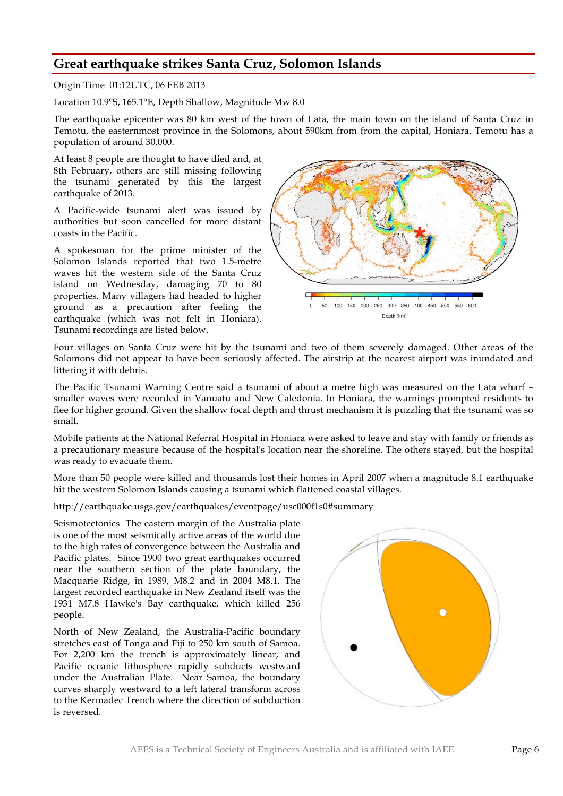# **Great earthquake strikes Santa Cruz, Solomon Islands**

Origin Time 01:12UTC, 06 FEB 2013

Location 10.9°S, 165.1°E, Depth Shallow, Magnitude Mw 8.0

The earthquake epicenter was 80 km west of the town of Lata, the main town on the island of Santa Cruz in Temotu, the easternmost province in the Solomons, about 590km from from the capital, Honiara. Temotu has a population of around 30,000.

At least 8 people are thought to have died and, at 8th February, others are still missing following the tsunami generated by this the largest earthquake of 2013.

A Pacific-wide tsunami alert was issued by authorities but soon cancelled for more distant coasts in the Pacific.

A spokesman for the prime minister of the Solomon Islands reported that two 1.5-metre waves hit the western side of the Santa Cruz island on Wednesday, damaging 70 to 80 properties. Many villagers had headed to higher ground as a precaution after feeling the earthquake (which was not felt in Honiara). Tsunami recordings are listed below.



Four villages on Santa Cruz were hit by the tsunami and two of them severely damaged. Other areas of the Solomons did not appear to have been seriously affected. The airstrip at the nearest airport was inundated and littering it with debris.

The Pacific Tsunami Warning Centre said a tsunami of about a metre high was measured on the Lata wharf – smaller waves were recorded in Vanuatu and New Caledonia. In Honiara, the warnings prompted residents to flee for higher ground. Given the shallow focal depth and thrust mechanism it is puzzling that the tsunami was so small.

Mobile patients at the National Referral Hospital in Honiara were asked to leave and stay with family or friends as a precautionary measure because of the hospital's location near the shoreline. The others stayed, but the hospital was ready to evacuate them.

More than 50 people were killed and thousands lost their homes in April 2007 when a magnitude 8.1 earthquake hit the western Solomon Islands causing a tsunami which flattened coastal villages.

#### http://earthquake.usgs.gov/earthquakes/eventpage/usc000f1s0#summary

Seismotectonics The eastern margin of the Australia plate is one of the most seismically active areas of the world due to the high rates of convergence between the Australia and Pacific plates. Since 1900 two great earthquakes occurred near the southern section of the plate boundary, the Macquarie Ridge, in 1989, M8.2 and in 2004 M8.1. The largest recorded earthquake in New Zealand itself was the 1931 M7.8 Hawke's Bay earthquake, which killed 256 people.

North of New Zealand, the Australia-Pacific boundary stretches east of Tonga and Fiji to 250 km south of Samoa. For 2,200 km the trench is approximately linear, and Pacific oceanic lithosphere rapidly subducts westward under the Australian Plate. Near Samoa, the boundary curves sharply westward to a left lateral transform across to the Kermadec Trench where the direction of subduction is reversed.

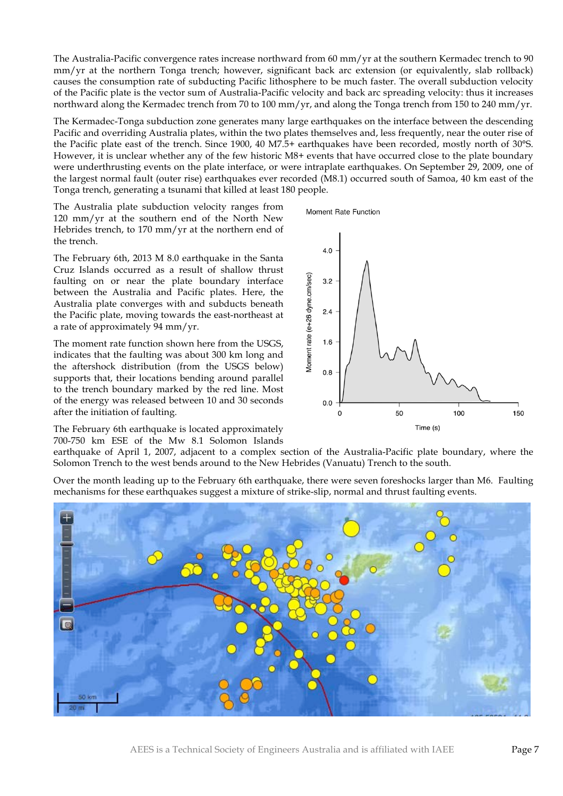The Australia-Pacific convergence rates increase northward from 60 mm/yr at the southern Kermadec trench to 90 mm/yr at the northern Tonga trench; however, significant back arc extension (or equivalently, slab rollback) causes the consumption rate of subducting Pacific lithosphere to be much faster. The overall subduction velocity of the Pacific plate is the vector sum of Australia-Pacific velocity and back arc spreading velocity: thus it increases northward along the Kermadec trench from 70 to 100 mm/yr, and along the Tonga trench from 150 to 240 mm/yr.

The Kermadec-Tonga subduction zone generates many large earthquakes on the interface between the descending Pacific and overriding Australia plates, within the two plates themselves and, less frequently, near the outer rise of the Pacific plate east of the trench. Since 1900, 40 M7.5+ earthquakes have been recorded, mostly north of 30°S. However, it is unclear whether any of the few historic M8+ events that have occurred close to the plate boundary were underthrusting events on the plate interface, or were intraplate earthquakes. On September 29, 2009, one of the largest normal fault (outer rise) earthquakes ever recorded (M8.1) occurred south of Samoa, 40 km east of the Tonga trench, generating a tsunami that killed at least 180 people.

The Australia plate subduction velocity ranges from 120 mm/yr at the southern end of the North New Hebrides trench, to 170 mm/yr at the northern end of the trench.

The February 6th, 2013 M 8.0 earthquake in the Santa Cruz Islands occurred as a result of shallow thrust faulting on or near the plate boundary interface between the Australia and Pacific plates. Here, the Australia plate converges with and subducts beneath the Pacific plate, moving towards the east-northeast at a rate of approximately 94 mm/yr.

The moment rate function shown here from the USGS, indicates that the faulting was about 300 km long and the aftershock distribution (from the USGS below) supports that, their locations bending around parallel to the trench boundary marked by the red line. Most of the energy was released between 10 and 30 seconds after the initiation of faulting.

The February 6th earthquake is located approximately 700-750 km ESE of the Mw 8.1 Solomon Islands

earthquake of April 1, 2007, adjacent to a complex section of the Australia-Pacific plate boundary, where the Solomon Trench to the west bends around to the New Hebrides (Vanuatu) Trench to the south.

Over the month leading up to the February 6th earthquake, there were seven foreshocks larger than M6. Faulting mechanisms for these earthquakes suggest a mixture of strike-slip, normal and thrust faulting events.





Moment Rate Function

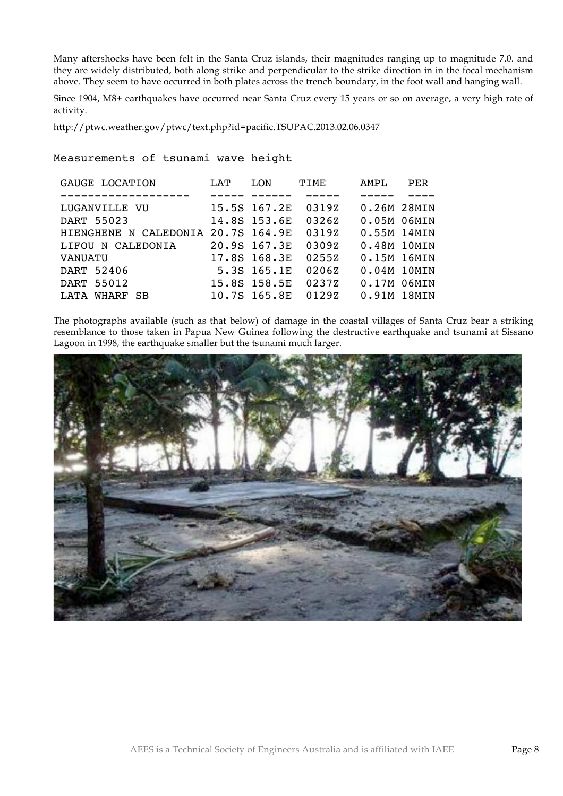Many aftershocks have been felt in the Santa Cruz islands, their magnitudes ranging up to magnitude 7.0. and they are widely distributed, both along strike and perpendicular to the strike direction in in the focal mechanism above. They seem to have occurred in both plates across the trench boundary, in the foot wall and hanging wall.

Since 1904, M8+ earthquakes have occurred near Santa Cruz every 15 years or so on average, a very high rate of activity.

http://ptwc.weather.gov/ptwc/text.php?id=pacific.TSUPAC.2013.02.06.0347

## Measurements of tsunami wave height

| T.AT | LON | TIME                                                                                                                                              | AMPT.       | PER |
|------|-----|---------------------------------------------------------------------------------------------------------------------------------------------------|-------------|-----|
|      |     |                                                                                                                                                   |             |     |
|      |     | 03197                                                                                                                                             | 0.26M 28MIN |     |
|      |     | 03267                                                                                                                                             | 0.05M 06MIN |     |
|      |     | 03197                                                                                                                                             | 0.55M 14MIN |     |
|      |     | 03097                                                                                                                                             | 0.48M 10MIN |     |
|      |     | 02557                                                                                                                                             | 0.15M 16MIN |     |
|      |     | 02067                                                                                                                                             | 0.04M 10MIN |     |
|      |     | 02377                                                                                                                                             | 0.17M 06MIN |     |
|      |     | 01297                                                                                                                                             | 0.91M 18MIN |     |
|      |     | 15.5S 167.2E<br>14.8S 153.6E<br>HIENGHENE N CALEDONIA 20.7S 164.9E<br>20.9S 167.3E<br>17.8S 168.3E<br>5.3S 165.1E<br>15.8S 158.5E<br>10.7S 165.8E |             |     |

The photographs available (such as that below) of damage in the coastal villages of Santa Cruz bear a striking resemblance to those taken in Papua New Guinea following the destructive earthquake and tsunami at Sissano Lagoon in 1998, the earthquake smaller but the tsunami much larger.

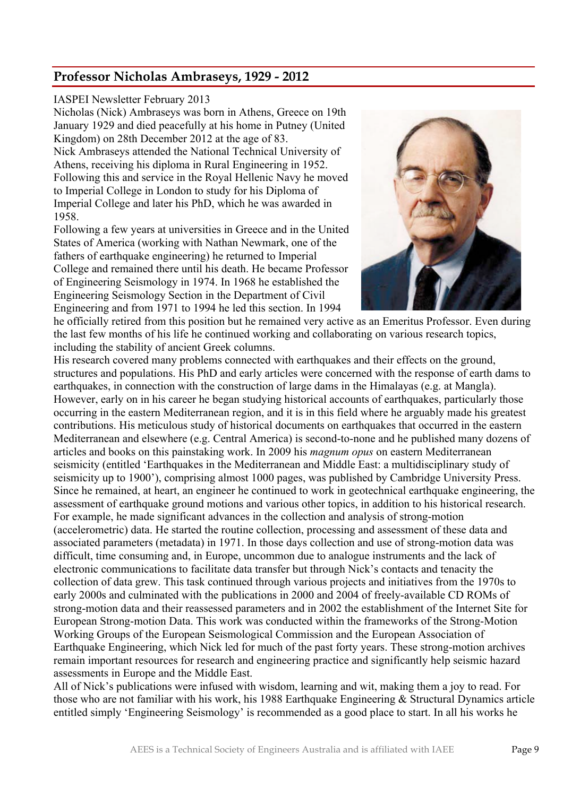# **Professor Nicholas Ambraseys, 1929 - 2012**

## IASPEI Newsletter February 2013

Nicholas (Nick) Ambraseys was born in Athens, Greece on 19th January 1929 and died peacefully at his home in Putney (United Kingdom) on 28th December 2012 at the age of 83.

Nick Ambraseys attended the National Technical University of Athens, receiving his diploma in Rural Engineering in 1952. Following this and service in the Royal Hellenic Navy he moved to Imperial College in London to study for his Diploma of Imperial College and later his PhD, which he was awarded in 1958.

Following a few years at universities in Greece and in the United States of America (working with Nathan Newmark, one of the fathers of earthquake engineering) he returned to Imperial College and remained there until his death. He became Professor of Engineering Seismology in 1974. In 1968 he established the Engineering Seismology Section in the Department of Civil Engineering and from 1971 to 1994 he led this section. In 1994



he officially retired from this position but he remained very active as an Emeritus Professor. Even during the last few months of his life he continued working and collaborating on various research topics, including the stability of ancient Greek columns.

His research covered many problems connected with earthquakes and their effects on the ground, structures and populations. His PhD and early articles were concerned with the response of earth dams to earthquakes, in connection with the construction of large dams in the Himalayas (e.g. at Mangla). However, early on in his career he began studying historical accounts of earthquakes, particularly those occurring in the eastern Mediterranean region, and it is in this field where he arguably made his greatest contributions. His meticulous study of historical documents on earthquakes that occurred in the eastern Mediterranean and elsewhere (e.g. Central America) is second-to-none and he published many dozens of articles and books on this painstaking work. In 2009 his *magnum opus* on eastern Mediterranean seismicity (entitled 'Earthquakes in the Mediterranean and Middle East: a multidisciplinary study of seismicity up to 1900'), comprising almost 1000 pages, was published by Cambridge University Press. Since he remained, at heart, an engineer he continued to work in geotechnical earthquake engineering, the assessment of earthquake ground motions and various other topics, in addition to his historical research. For example, he made significant advances in the collection and analysis of strong-motion (accelerometric) data. He started the routine collection, processing and assessment of these data and associated parameters (metadata) in 1971. In those days collection and use of strong-motion data was difficult, time consuming and, in Europe, uncommon due to analogue instruments and the lack of electronic communications to facilitate data transfer but through Nick's contacts and tenacity the collection of data grew. This task continued through various projects and initiatives from the 1970s to early 2000s and culminated with the publications in 2000 and 2004 of freely-available CD ROMs of strong-motion data and their reassessed parameters and in 2002 the establishment of the Internet Site for European Strong-motion Data. This work was conducted within the frameworks of the Strong-Motion Working Groups of the European Seismological Commission and the European Association of Earthquake Engineering, which Nick led for much of the past forty years. These strong-motion archives remain important resources for research and engineering practice and significantly help seismic hazard assessments in Europe and the Middle East.

All of Nick's publications were infused with wisdom, learning and wit, making them a joy to read. For those who are not familiar with his work, his 1988 Earthquake Engineering & Structural Dynamics article entitled simply 'Engineering Seismology' is recommended as a good place to start. In all his works he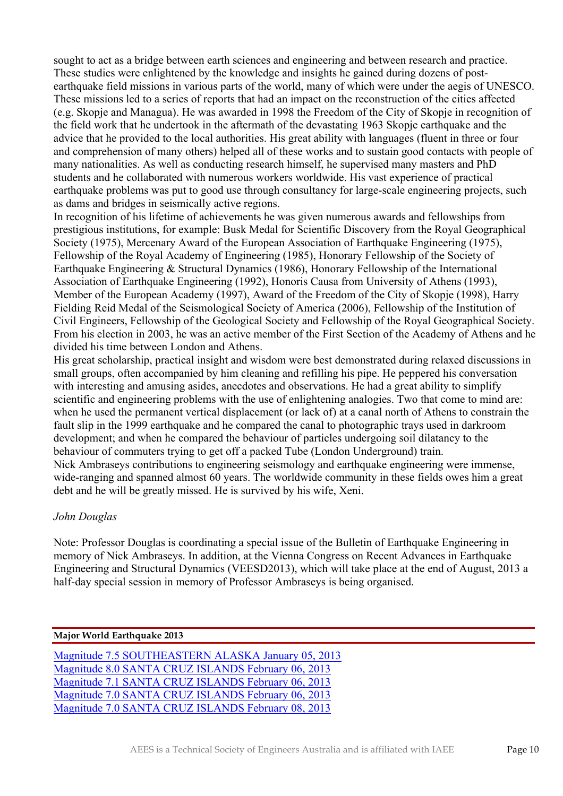sought to act as a bridge between earth sciences and engineering and between research and practice. These studies were enlightened by the knowledge and insights he gained during dozens of postearthquake field missions in various parts of the world, many of which were under the aegis of UNESCO. These missions led to a series of reports that had an impact on the reconstruction of the cities affected (e.g. Skopje and Managua). He was awarded in 1998 the Freedom of the City of Skopje in recognition of the field work that he undertook in the aftermath of the devastating 1963 Skopje earthquake and the advice that he provided to the local authorities. His great ability with languages (fluent in three or four and comprehension of many others) helped all of these works and to sustain good contacts with people of many nationalities. As well as conducting research himself, he supervised many masters and PhD students and he collaborated with numerous workers worldwide. His vast experience of practical earthquake problems was put to good use through consultancy for large-scale engineering projects, such as dams and bridges in seismically active regions.

In recognition of his lifetime of achievements he was given numerous awards and fellowships from prestigious institutions, for example: Busk Medal for Scientific Discovery from the Royal Geographical Society (1975), Mercenary Award of the European Association of Earthquake Engineering (1975), Fellowship of the Royal Academy of Engineering (1985), Honorary Fellowship of the Society of Earthquake Engineering & Structural Dynamics (1986), Honorary Fellowship of the International Association of Earthquake Engineering (1992), Honoris Causa from University of Athens (1993), Member of the European Academy (1997), Award of the Freedom of the City of Skopje (1998), Harry Fielding Reid Medal of the Seismological Society of America (2006), Fellowship of the Institution of Civil Engineers, Fellowship of the Geological Society and Fellowship of the Royal Geographical Society. From his election in 2003, he was an active member of the First Section of the Academy of Athens and he divided his time between London and Athens.

His great scholarship, practical insight and wisdom were best demonstrated during relaxed discussions in small groups, often accompanied by him cleaning and refilling his pipe. He peppered his conversation with interesting and amusing asides, anecdotes and observations. He had a great ability to simplify scientific and engineering problems with the use of enlightening analogies. Two that come to mind are: when he used the permanent vertical displacement (or lack of) at a canal north of Athens to constrain the fault slip in the 1999 earthquake and he compared the canal to photographic trays used in darkroom development; and when he compared the behaviour of particles undergoing soil dilatancy to the behaviour of commuters trying to get off a packed Tube (London Underground) train. Nick Ambraseys contributions to engineering seismology and earthquake engineering were immense, wide-ranging and spanned almost 60 years. The worldwide community in these fields owes him a great debt and he will be greatly missed. He is survived by his wife, Xeni.

## *John Douglas*

Note: Professor Douglas is coordinating a special issue of the Bulletin of Earthquake Engineering in memory of Nick Ambraseys. In addition, at the Vienna Congress on Recent Advances in Earthquake Engineering and Structural Dynamics (VEESD2013), which will take place at the end of August, 2013 a half-day special session in memory of Professor Ambraseys is being organised.

## **Major World Earthquake 2013**

Magnitude 7.5 SOUTHEASTERN ALASKA January 05, 2013 Magnitude 8.0 SANTA CRUZ ISLANDS February 06, 2013 Magnitude 7.1 SANTA CRUZ ISLANDS February 06, 2013 Magnitude 7.0 SANTA CRUZ ISLANDS February 06, 2013 Magnitude 7.0 SANTA CRUZ ISLANDS February 08, 2013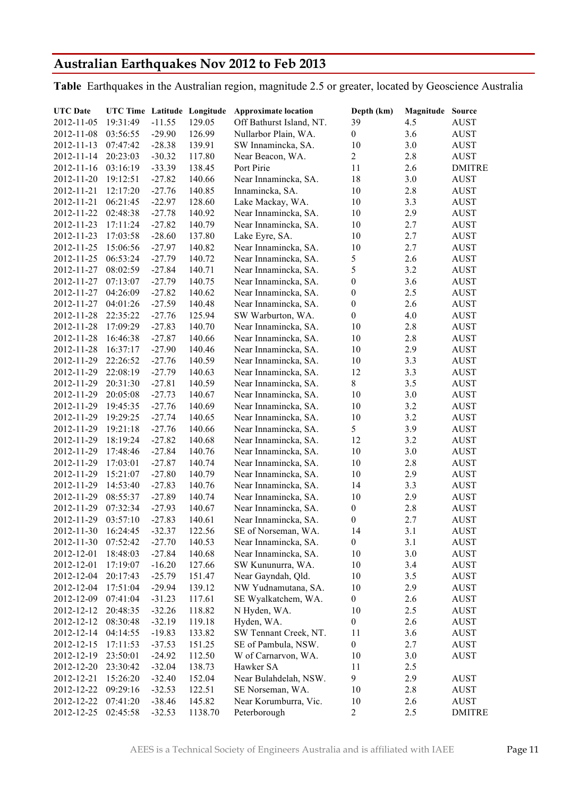# **Australian Earthquakes Nov 2012 to Feb 2013**

**Table** Earthquakes in the Australian region, magnitude 2.5 or greater, located by Geoscience Australia

| <b>UTC</b> Date | UTC Time Latitude Longitude |          |         | <b>Approximate location</b> | Depth (km)       | <b>Magnitude Source</b> |               |
|-----------------|-----------------------------|----------|---------|-----------------------------|------------------|-------------------------|---------------|
| 2012-11-05      | 19:31:49                    | $-11.55$ | 129.05  | Off Bathurst Island, NT.    | 39               | 4.5                     | <b>AUST</b>   |
| 2012-11-08      | 03:56:55                    | $-29.90$ | 126.99  | Nullarbor Plain, WA.        | $\boldsymbol{0}$ | 3.6                     | <b>AUST</b>   |
| 2012-11-13      | 07:47:42                    | $-28.38$ | 139.91  | SW Innamincka, SA.          | 10               | 3.0                     | <b>AUST</b>   |
| 2012-11-14      | 20:23:03                    | $-30.32$ | 117.80  | Near Beacon, WA.            | $\overline{2}$   | 2.8                     | <b>AUST</b>   |
| 2012-11-16      | 03:16:19                    | $-33.39$ | 138.45  | Port Pirie                  | 11               | 2.6                     | <b>DMITRE</b> |
| 2012-11-20      | 19:12:51                    | $-27.82$ | 140.66  | Near Innamincka, SA.        | 18               | 3.0                     | <b>AUST</b>   |
| 2012-11-21      | 12:17:20                    | $-27.76$ | 140.85  | Innamincka, SA.             | 10               | 2.8                     | <b>AUST</b>   |
| 2012-11-21      | 06:21:45                    | $-22.97$ | 128.60  | Lake Mackay, WA.            | 10               | 3.3                     | <b>AUST</b>   |
| 2012-11-22      | 02:48:38                    | $-27.78$ | 140.92  | Near Innamincka, SA.        | 10               | 2.9                     | <b>AUST</b>   |
| 2012-11-23      | 17:11:24                    | $-27.82$ | 140.79  | Near Innamincka, SA.        | 10               | 2.7                     | <b>AUST</b>   |
| 2012-11-23      | 17:03:58                    | $-28.60$ | 137.80  | Lake Eyre, SA.              | 10               | 2.7                     | <b>AUST</b>   |
| 2012-11-25      | 15:06:56                    | $-27.97$ | 140.82  | Near Innamincka, SA.        | 10               | 2.7                     | <b>AUST</b>   |
| 2012-11-25      | 06:53:24                    | $-27.79$ | 140.72  | Near Innamincka, SA.        | $\sqrt{5}$       | 2.6                     | <b>AUST</b>   |
| 2012-11-27      | 08:02:59                    | $-27.84$ | 140.71  | Near Innamincka, SA.        | 5                | 3.2                     | <b>AUST</b>   |
| 2012-11-27      | 07:13:07                    | $-27.79$ | 140.75  | Near Innamincka, SA.        | $\boldsymbol{0}$ | 3.6                     | <b>AUST</b>   |
| 2012-11-27      | 04:26:09                    | $-27.82$ | 140.62  | Near Innamincka, SA.        | $\boldsymbol{0}$ | 2.5                     | <b>AUST</b>   |
| 2012-11-27      | 04:01:26                    | $-27.59$ | 140.48  | Near Innamincka, SA.        | $\boldsymbol{0}$ | 2.6                     | <b>AUST</b>   |
| 2012-11-28      | 22:35:22                    | $-27.76$ | 125.94  | SW Warburton, WA.           | $\boldsymbol{0}$ | 4.0                     | <b>AUST</b>   |
| 2012-11-28      | 17:09:29                    | $-27.83$ | 140.70  | Near Innamincka, SA.        | 10               | 2.8                     | <b>AUST</b>   |
| 2012-11-28      | 16:46:38                    | $-27.87$ | 140.66  | Near Innamincka, SA.        | 10               | 2.8                     | <b>AUST</b>   |
| 2012-11-28      | 16:37:17                    | $-27.90$ | 140.46  | Near Innamincka, SA.        | 10               | 2.9                     | <b>AUST</b>   |
| 2012-11-29      | 22:26:52                    | $-27.76$ | 140.59  | Near Innamincka, SA.        | 10               | 3.3                     | <b>AUST</b>   |
| 2012-11-29      | 22:08:19                    | $-27.79$ | 140.63  | Near Innamincka, SA.        | 12               | 3.3                     | <b>AUST</b>   |
| 2012-11-29      | 20:31:30                    | $-27.81$ | 140.59  | Near Innamincka, SA.        | $\,$ 8 $\,$      | 3.5                     | <b>AUST</b>   |
| 2012-11-29      | 20:05:08                    | $-27.73$ | 140.67  | Near Innamincka, SA.        | 10               | 3.0                     | <b>AUST</b>   |
| 2012-11-29      | 19:45:35                    | $-27.76$ | 140.69  | Near Innamincka, SA.        | 10               | 3.2                     | <b>AUST</b>   |
|                 | 19:29:25                    | $-27.74$ | 140.65  | Near Innamincka, SA.        | 10               |                         |               |
| 2012-11-29      | 19:21:18                    |          | 140.66  |                             | 5                | 3.2                     | <b>AUST</b>   |
| 2012-11-29      |                             | $-27.76$ |         | Near Innamincka, SA.        |                  | 3.9                     | <b>AUST</b>   |
| 2012-11-29      | 18:19:24                    | $-27.82$ | 140.68  | Near Innamincka, SA.        | 12               | 3.2                     | <b>AUST</b>   |
| 2012-11-29      | 17:48:46                    | $-27.84$ | 140.76  | Near Innamincka, SA.        | 10               | 3.0                     | <b>AUST</b>   |
| 2012-11-29      | 17:03:01                    | $-27.87$ | 140.74  | Near Innamincka, SA.        | 10               | 2.8                     | <b>AUST</b>   |
| 2012-11-29      | 15:21:07                    | $-27.80$ | 140.79  | Near Innamincka, SA.        | 10               | 2.9                     | <b>AUST</b>   |
| 2012-11-29      | 14:53:40                    | $-27.83$ | 140.76  | Near Innamincka, SA.        | 14               | 3.3                     | <b>AUST</b>   |
| 2012-11-29      | 08:55:37                    | $-27.89$ | 140.74  | Near Innamincka, SA.        | 10               | 2.9                     | <b>AUST</b>   |
| 2012-11-29      | 07:32:34                    | $-27.93$ | 140.67  | Near Innamincka, SA.        | $\boldsymbol{0}$ | 2.8                     | <b>AUST</b>   |
| 2012-11-29      | 03:57:10                    | $-27.83$ | 140.61  | Near Innamincka, SA.        | $\boldsymbol{0}$ | 2.7                     | <b>AUST</b>   |
| 2012-11-30      | 16:24:45                    | $-32.37$ | 122.56  | SE of Norseman, WA.         | 14               | 3.1                     | <b>AUST</b>   |
| 2012-11-30      | 07:52:42                    | $-27.70$ | 140.53  | Near Innamincka, SA.        | $\boldsymbol{0}$ | 3.1                     | AUST          |
| 2012-12-01      | 18:48:03                    | $-27.84$ | 140.68  | Near Innamincka, SA.        | 10               | 3.0                     | AUST          |
| 2012-12-01      | 17:19:07                    | $-16.20$ | 127.66  | SW Kununurra, WA.           | 10               | 3.4                     | AUST          |
| 2012-12-04      | 20:17:43                    | $-25.79$ | 151.47  | Near Gayndah, Qld.          | 10               | 3.5                     | AUST          |
| 2012-12-04      | 17:51:04                    | $-29.94$ | 139.12  | NW Yudnamutana, SA.         | 10               | 2.9                     | AUST          |
| 2012-12-09      | 07:41:04                    | $-31.23$ | 117.61  | SE Wyalkatchem, WA.         | $\boldsymbol{0}$ | 2.6                     | AUST          |
| 2012-12-12      | 20:48:35                    | $-32.26$ | 118.82  | N Hyden, WA.                | 10               | 2.5                     | AUST          |
| 2012-12-12      | 08:30:48                    | $-32.19$ | 119.18  | Hyden, WA.                  | $\boldsymbol{0}$ | 2.6                     | AUST          |
| 2012-12-14      | 04:14:55                    | $-19.83$ | 133.82  | SW Tennant Creek, NT.       | 11               | 3.6                     | AUST          |
| 2012-12-15      | 17:11:53                    | $-37.53$ | 151.25  | SE of Pambula, NSW.         | $\boldsymbol{0}$ | 2.7                     | AUST          |
| 2012-12-19      | 23:50:01                    | $-24.92$ | 112.50  | W of Carnarvon, WA.         | 10               | 3.0                     | AUST          |
| 2012-12-20      | 23:30:42                    | $-32.04$ | 138.73  | Hawker SA                   | 11               | 2.5                     |               |
| 2012-12-21      | 15:26:20                    | $-32.40$ | 152.04  | Near Bulahdelah, NSW.       | 9                | 2.9                     | AUST          |
| 2012-12-22      | 09:29:16                    | $-32.53$ | 122.51  | SE Norseman, WA.            | 10               | 2.8                     | AUST          |
| 2012-12-22      | 07:41:20                    | $-38.46$ | 145.82  | Near Korumburra, Vic.       | 10               | 2.6                     | AUST          |
| 2012-12-25      | 02:45:58                    | $-32.53$ | 1138.70 | Peterborough                | $\overline{2}$   | 2.5                     | <b>DMITRE</b> |